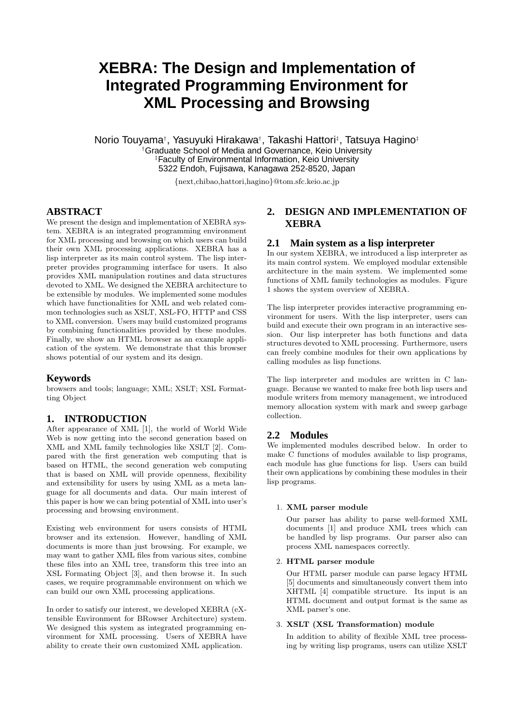# **XEBRA: The Design and Implementation of Integrated Programming Environment for XML Processing and Browsing**

Norio Touyama†, Yasuyuki Hirakawa†, Takashi Hattori‡, Tatsuya Hagino‡ †Graduate School of Media and Governance, Keio University ‡Faculty of Environmental Information, Keio University 5322 Endoh, Fujisawa, Kanagawa 252-8520, Japan

{next,chibao,hattori,hagino}@tom.sfc.keio.ac.jp

# **ABSTRACT**

We present the design and implementation of XEBRA system. XEBRA is an integrated programming environment for XML processing and browsing on which users can build their own XML processing applications. XEBRA has a lisp interpreter as its main control system. The lisp interpreter provides programming interface for users. It also provides XML manipulation routines and data structures devoted to XML. We designed the XEBRA architecture to be extensible by modules. We implemented some modules which have functionalities for XML and web related common technologies such as XSLT, XSL-FO, HTTP and CSS to XML conversion. Users may build customized programs by combining functionalities provided by these modules. Finally, we show an HTML browser as an example application of the system. We demonstrate that this browser shows potential of our system and its design.

## **Keywords**

browsers and tools; language; XML; XSLT; XSL Formatting Object

# **1. INTRODUCTION**

After appearance of XML [1], the world of World Wide Web is now getting into the second generation based on XML and XML family technologies like XSLT [2]. Compared with the first generation web computing that is based on HTML, the second generation web computing that is based on XML will provide openness, flexibility and extensibility for users by using XML as a meta language for all documents and data. Our main interest of this paper is how we can bring potential of XML into user's processing and browsing environment.

Existing web environment for users consists of HTML browser and its extension. However, handling of XML documents is more than just browsing. For example, we may want to gather XML files from various sites, combine these files into an XML tree, transform this tree into an XSL Formating Object [3], and then browse it. In such cases, we require programmable environment on which we can build our own XML processing applications.

In order to satisfy our interest, we developed XEBRA (eXtensible Environment for BRowser Architecture) system. We designed this system as integrated programming environment for XML processing. Users of XEBRA have ability to create their own customized XML application.

# **2. DESIGN AND IMPLEMENTATION OF XEBRA**

## **2.1 Main system as a lisp interpreter**

In our system XEBRA, we introduced a lisp interpreter as its main control system. We employed modular extensible architecture in the main system. We implemented some functions of XML family technologies as modules. Figure 1 shows the system overview of XEBRA.

The lisp interpreter provides interactive programming environment for users. With the lisp interpreter, users can build and execute their own program in an interactive session. Our lisp interpreter has both functions and data structures devoted to XML processing. Furthermore, users can freely combine modules for their own applications by calling modules as lisp functions.

The lisp interpreter and modules are written in C language. Because we wanted to make free both lisp users and module writers from memory management, we introduced memory allocation system with mark and sweep garbage collection.

## **2.2 Modules**

We implemented modules described below. In order to make C functions of modules available to lisp programs, each module has glue functions for lisp. Users can build their own applications by combining these modules in their lisp programs.

#### 1. XML parser module

Our parser has ability to parse well-formed XML documents [1] and produce XML trees which can be handled by lisp programs. Our parser also can process XML namespaces correctly.

## 2. HTML parser module

Our HTML parser module can parse legacy HTML [5] documents and simultaneously convert them into XHTML [4] compatible structure. Its input is an HTML document and output format is the same as XML parser's one.

#### 3. XSLT (XSL Transformation) module

In addition to ability of flexible XML tree processing by writing lisp programs, users can utilize XSLT